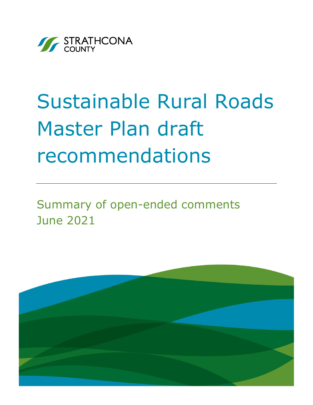

# Sustainable Rural Roads Master Plan draft recommendations

Summary of open-ended comments June 2021

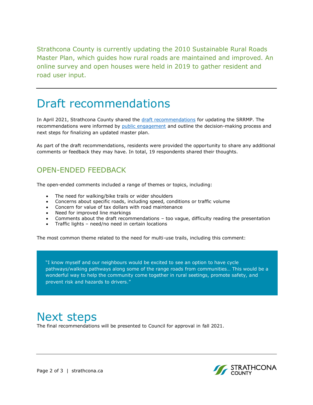Strathcona County is currently updating the 2010 Sustainable Rural Roads Master Plan, which guides how rural roads are maintained and improved. An online survey and open houses were held in 2019 to gather resident and road user input.

## Draft recommendations

In April 2021, Strathcona County shared the [draft recommendations](https://www.strathcona.ca/council-county/plans-and-reports/strategic-documents/transportation-roads/sustainable-rural-roads-master-plan/) for updating the SRRMP. The recommendations were informed by [public engagement](https://www.strathcona.ca/files/files/tas-srrmp-engagement-summary-report.pdf) and outline the decision-making process and next steps for finalizing an updated master plan.

As part of the draft recommendations, residents were provided the opportunity to share any additional comments or feedback they may have. In total, 19 respondents shared their thoughts.

#### OPEN-ENDED FEEDBACK

The open-ended comments included a range of themes or topics, including:

- The need for walking/bike trails or wider shoulders
- Concerns about specific roads, including speed, conditions or traffic volume
- Concern for value of tax dollars with road maintenance
- Need for improved line markings
- Comments about the draft recommendations too vague, difficulty reading the presentation
- Traffic lights need/no need in certain locations

The most common theme related to the need for multi-use trails, including this comment:

"I know myself and our neighbours would be excited to see an option to have cycle pathways/walking pathways along some of the range roads from communities… This would be a wonderful way to help the community come together in rural seetings, promote safety, and prevent risk and hazards to drivers."

### Next steps

The final recommendations will be presented to Council for approval in fall 2021.